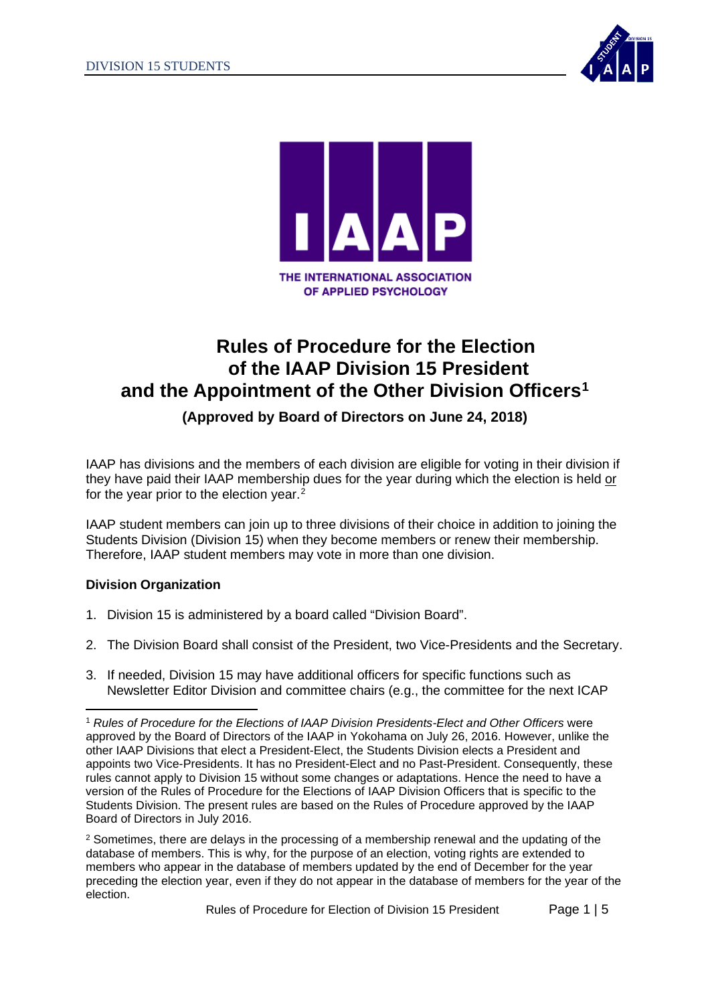



# **Rules of Procedure for the Election of the IAAP Division 15 President and the Appointment of the Other Division Officers[1](#page-0-0)**

**(Approved by Board of Directors on June 24, 2018)**

IAAP has divisions and the members of each division are eligible for voting in their division if they have paid their IAAP membership dues for the year during which the election is held or for the year prior to the election year.<sup>[2](#page-0-1)</sup>

IAAP student members can join up to three divisions of their choice in addition to joining the Students Division (Division 15) when they become members or renew their membership. Therefore, IAAP student members may vote in more than one division.

## **Division Organization**

- 1. Division 15 is administered by a board called "Division Board".
- 2. The Division Board shall consist of the President, two Vice-Presidents and the Secretary.
- 3. If needed, Division 15 may have additional officers for specific functions such as Newsletter Editor Division and committee chairs (e.g., the committee for the next ICAP

<span id="page-0-1"></span><sup>2</sup> Sometimes, there are delays in the processing of a membership renewal and the updating of the database of members. This is why, for the purpose of an election, voting rights are extended to members who appear in the database of members updated by the end of December for the year preceding the election year, even if they do not appear in the database of members for the year of the election.

<span id="page-0-0"></span><sup>1</sup> *Rules of Procedure for the Elections of IAAP Division Presidents-Elect and Other Officers* were approved by the Board of Directors of the IAAP in Yokohama on July 26, 2016. However, unlike the other IAAP Divisions that elect a President-Elect, the Students Division elects a President and appoints two Vice-Presidents. It has no President-Elect and no Past-President. Consequently, these rules cannot apply to Division 15 without some changes or adaptations. Hence the need to have a version of the Rules of Procedure for the Elections of IAAP Division Officers that is specific to the Students Division. The present rules are based on the Rules of Procedure approved by the IAAP Board of Directors in July 2016.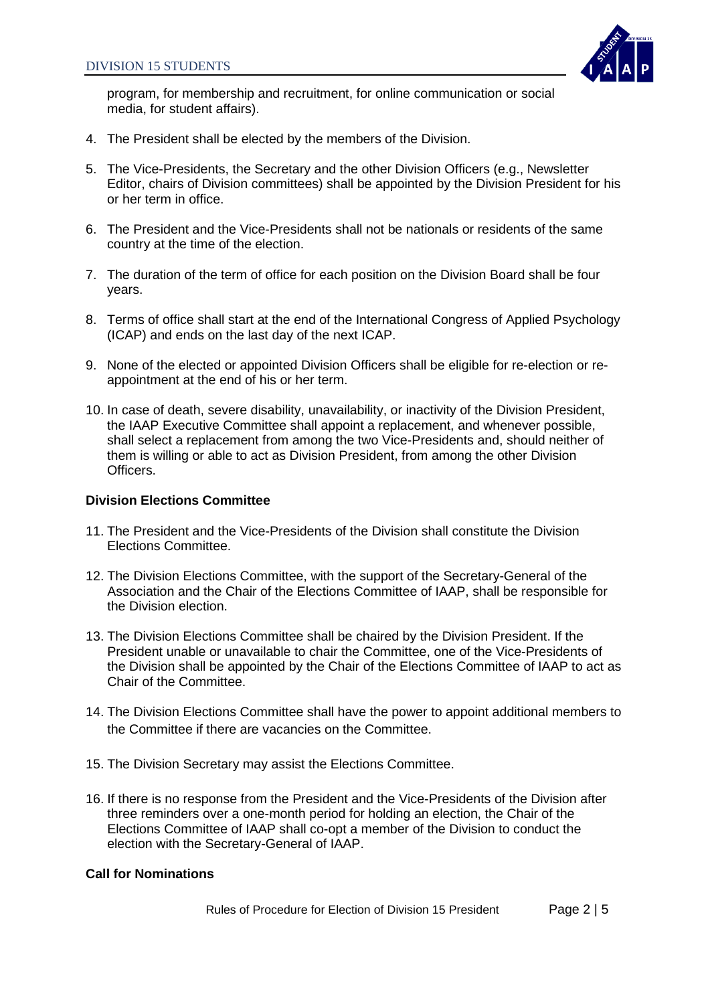

program, for membership and recruitment, for online communication or social media, for student affairs).

- 4. The President shall be elected by the members of the Division.
- 5. The Vice-Presidents, the Secretary and the other Division Officers (e.g., Newsletter Editor, chairs of Division committees) shall be appointed by the Division President for his or her term in office.
- 6. The President and the Vice-Presidents shall not be nationals or residents of the same country at the time of the election.
- 7. The duration of the term of office for each position on the Division Board shall be four years.
- 8. Terms of office shall start at the end of the International Congress of Applied Psychology (ICAP) and ends on the last day of the next ICAP.
- 9. None of the elected or appointed Division Officers shall be eligible for re-election or reappointment at the end of his or her term.
- 10. In case of death, severe disability, unavailability, or inactivity of the Division President, the IAAP Executive Committee shall appoint a replacement, and whenever possible, shall select a replacement from among the two Vice-Presidents and, should neither of them is willing or able to act as Division President, from among the other Division Officers.

#### **Division Elections Committee**

- 11. The President and the Vice-Presidents of the Division shall constitute the Division Elections Committee.
- 12. The Division Elections Committee, with the support of the Secretary-General of the Association and the Chair of the Elections Committee of IAAP, shall be responsible for the Division election.
- 13. The Division Elections Committee shall be chaired by the Division President. If the President unable or unavailable to chair the Committee, one of the Vice-Presidents of the Division shall be appointed by the Chair of the Elections Committee of IAAP to act as Chair of the Committee.
- 14. The Division Elections Committee shall have the power to appoint additional members to the Committee if there are vacancies on the Committee.
- 15. The Division Secretary may assist the Elections Committee.
- 16. If there is no response from the President and the Vice-Presidents of the Division after three reminders over a one-month period for holding an election, the Chair of the Elections Committee of IAAP shall co-opt a member of the Division to conduct the election with the Secretary-General of IAAP.

#### **Call for Nominations**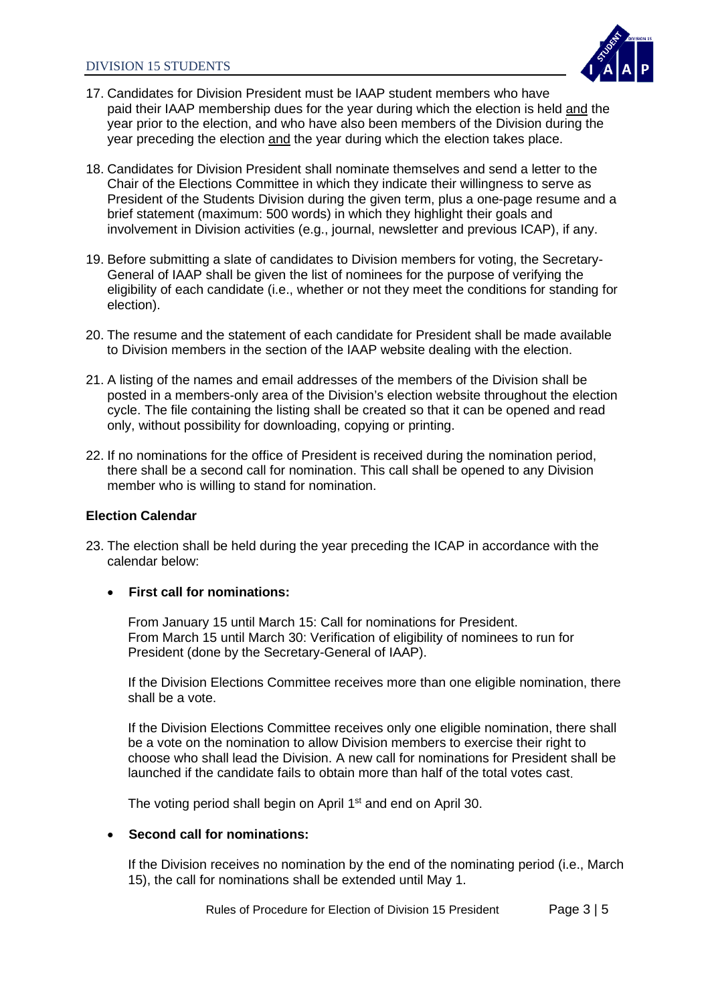

- 17. Candidates for Division President must be IAAP student members who have paid their IAAP membership dues for the year during which the election is held and the year prior to the election, and who have also been members of the Division during the year preceding the election and the year during which the election takes place.
- 18. Candidates for Division President shall nominate themselves and send a letter to the Chair of the Elections Committee in which they indicate their willingness to serve as President of the Students Division during the given term, plus a one-page resume and a brief statement (maximum: 500 words) in which they highlight their goals and involvement in Division activities (e.g., journal, newsletter and previous ICAP), if any.
- 19. Before submitting a slate of candidates to Division members for voting, the Secretary-General of IAAP shall be given the list of nominees for the purpose of verifying the eligibility of each candidate (i.e., whether or not they meet the conditions for standing for election).
- 20. The resume and the statement of each candidate for President shall be made available to Division members in the section of the IAAP website dealing with the election.
- 21. A listing of the names and email addresses of the members of the Division shall be posted in a members-only area of the Division's election website throughout the election cycle. The file containing the listing shall be created so that it can be opened and read only, without possibility for downloading, copying or printing.
- 22. If no nominations for the office of President is received during the nomination period, there shall be a second call for nomination. This call shall be opened to any Division member who is willing to stand for nomination.

#### **Election Calendar**

23. The election shall be held during the year preceding the ICAP in accordance with the calendar below:

#### • **First call for nominations:**

From January 15 until March 15: Call for nominations for President. From March 15 until March 30: Verification of eligibility of nominees to run for President (done by the Secretary-General of IAAP).

If the Division Elections Committee receives more than one eligible nomination, there shall be a vote.

If the Division Elections Committee receives only one eligible nomination, there shall be a vote on the nomination to allow Division members to exercise their right to choose who shall lead the Division. A new call for nominations for President shall be launched if the candidate fails to obtain more than half of the total votes cast.

The voting period shall begin on April 1<sup>st</sup> and end on April 30.

#### • **Second call for nominations:**

If the Division receives no nomination by the end of the nominating period (i.e., March 15), the call for nominations shall be extended until May 1.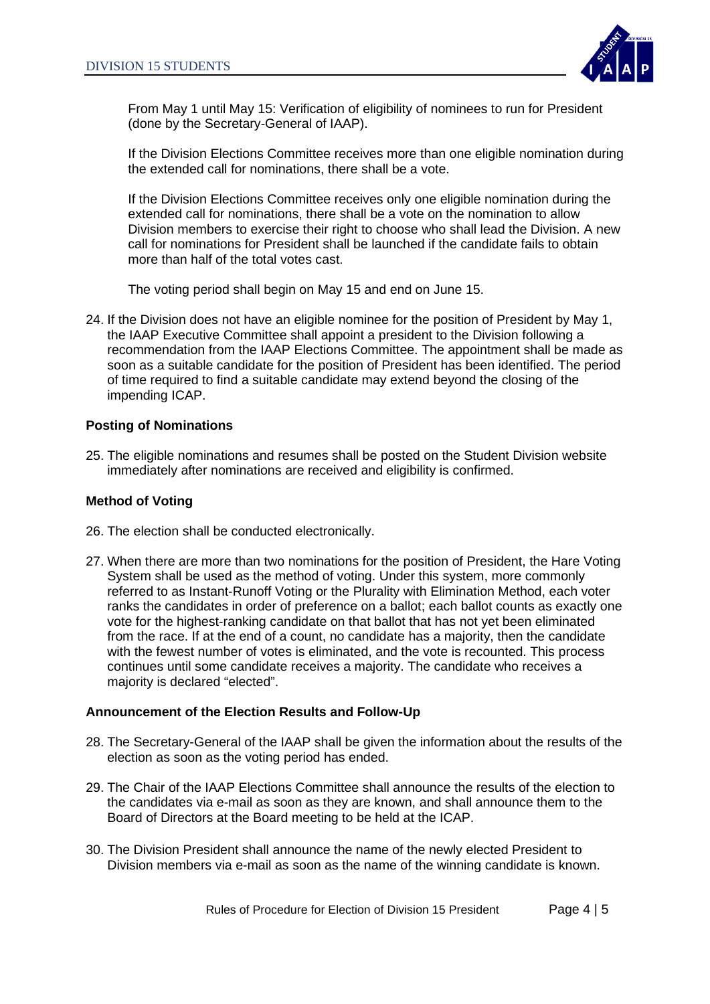

From May 1 until May 15: Verification of eligibility of nominees to run for President (done by the Secretary-General of IAAP).

If the Division Elections Committee receives more than one eligible nomination during the extended call for nominations, there shall be a vote.

If the Division Elections Committee receives only one eligible nomination during the extended call for nominations, there shall be a vote on the nomination to allow Division members to exercise their right to choose who shall lead the Division. A new call for nominations for President shall be launched if the candidate fails to obtain more than half of the total votes cast.

The voting period shall begin on May 15 and end on June 15.

24. If the Division does not have an eligible nominee for the position of President by May 1, the IAAP Executive Committee shall appoint a president to the Division following a recommendation from the IAAP Elections Committee. The appointment shall be made as soon as a suitable candidate for the position of President has been identified. The period of time required to find a suitable candidate may extend beyond the closing of the impending ICAP.

#### **Posting of Nominations**

25. The eligible nominations and resumes shall be posted on the Student Division website immediately after nominations are received and eligibility is confirmed.

### **Method of Voting**

- 26. The election shall be conducted electronically.
- 27. When there are more than two nominations for the position of President, the Hare Voting System shall be used as the method of voting. Under this system, more commonly referred to as Instant-Runoff Voting or the Plurality with Elimination Method, each voter ranks the candidates in order of preference on a ballot; each ballot counts as exactly one vote for the highest-ranking candidate on that ballot that has not yet been eliminated from the race. If at the end of a count, no candidate has a majority, then the candidate with the fewest number of votes is eliminated, and the vote is recounted. This process continues until some candidate receives a majority. The candidate who receives a majority is declared "elected".

#### **Announcement of the Election Results and Follow-Up**

- 28. The Secretary-General of the IAAP shall be given the information about the results of the election as soon as the voting period has ended.
- 29. The Chair of the IAAP Elections Committee shall announce the results of the election to the candidates via e-mail as soon as they are known, and shall announce them to the Board of Directors at the Board meeting to be held at the ICAP.
- 30. The Division President shall announce the name of the newly elected President to Division members via e-mail as soon as the name of the winning candidate is known.